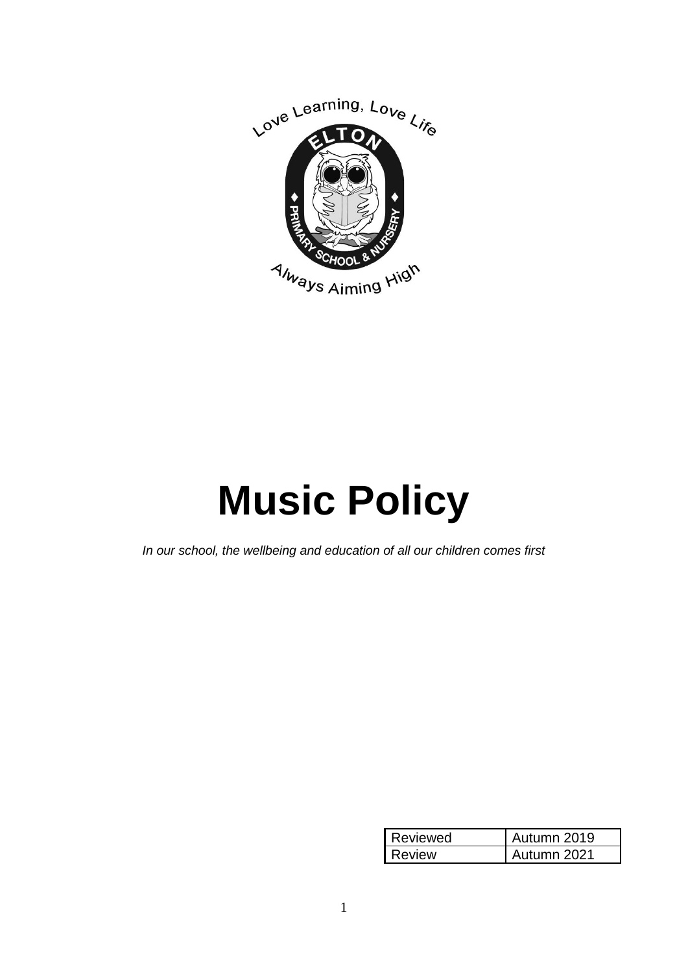

# **Music Policy**

*In our school, the wellbeing and education of all our children comes first*

| Reviewed | Autumn 2019 |
|----------|-------------|
| Review   | Autumn 2021 |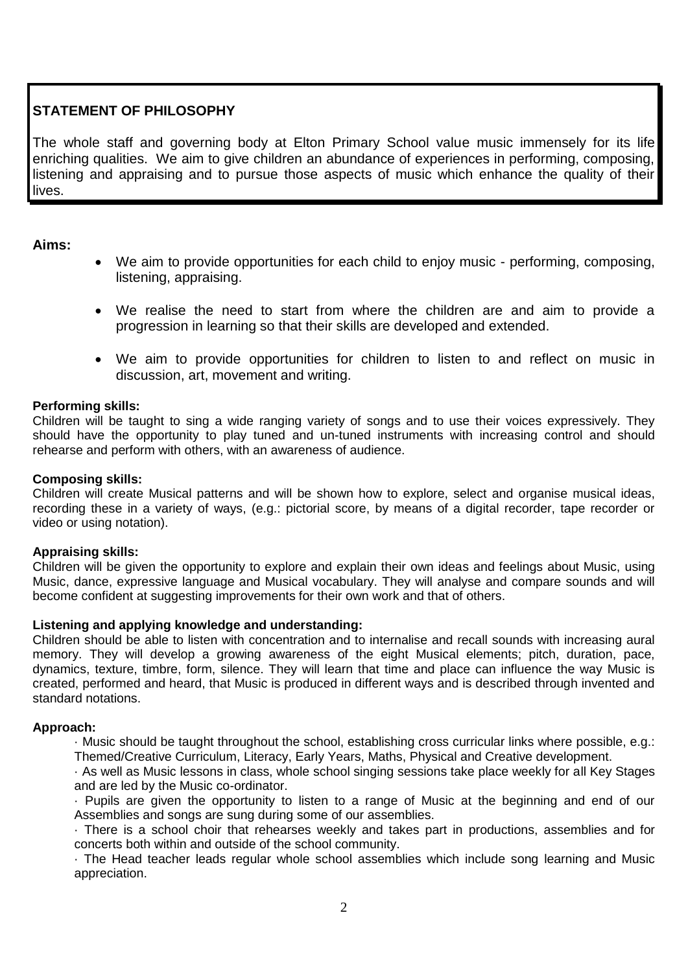# **STATEMENT OF PHILOSOPHY**

The whole staff and governing body at Elton Primary School value music immensely for its life enriching qualities. We aim to give children an abundance of experiences in performing, composing, listening and appraising and to pursue those aspects of music which enhance the quality of their lives.

# **Aims:**

- We aim to provide opportunities for each child to enjoy music performing, composing, listening, appraising.
- We realise the need to start from where the children are and aim to provide a progression in learning so that their skills are developed and extended.
- We aim to provide opportunities for children to listen to and reflect on music in discussion, art, movement and writing.

# **Performing skills:**

Children will be taught to sing a wide ranging variety of songs and to use their voices expressively. They should have the opportunity to play tuned and un-tuned instruments with increasing control and should rehearse and perform with others, with an awareness of audience.

# **Composing skills:**

Children will create Musical patterns and will be shown how to explore, select and organise musical ideas, recording these in a variety of ways, (e.g.: pictorial score, by means of a digital recorder, tape recorder or video or using notation).

# **Appraising skills:**

Children will be given the opportunity to explore and explain their own ideas and feelings about Music, using Music, dance, expressive language and Musical vocabulary. They will analyse and compare sounds and will become confident at suggesting improvements for their own work and that of others.

# **Listening and applying knowledge and understanding:**

Children should be able to listen with concentration and to internalise and recall sounds with increasing aural memory. They will develop a growing awareness of the eight Musical elements; pitch, duration, pace, dynamics, texture, timbre, form, silence. They will learn that time and place can influence the way Music is created, performed and heard, that Music is produced in different ways and is described through invented and standard notations.

# **Approach:**

· Music should be taught throughout the school, establishing cross curricular links where possible, e.g.: Themed/Creative Curriculum, Literacy, Early Years, Maths, Physical and Creative development.

· As well as Music lessons in class, whole school singing sessions take place weekly for all Key Stages and are led by the Music co-ordinator.

· Pupils are given the opportunity to listen to a range of Music at the beginning and end of our Assemblies and songs are sung during some of our assemblies.

· There is a school choir that rehearses weekly and takes part in productions, assemblies and for concerts both within and outside of the school community.

· The Head teacher leads regular whole school assemblies which include song learning and Music appreciation.